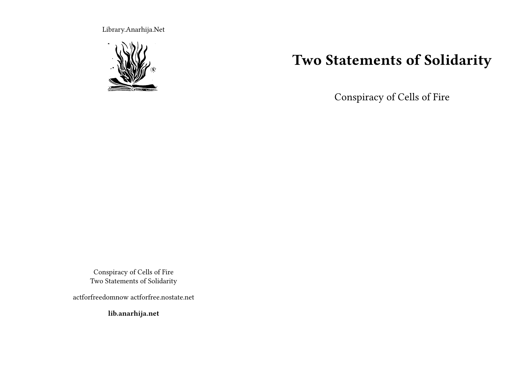Library.Anarhija.Net



## **Two Statements of Solidarity**

Conspiracy of Cells of Fire

Conspiracy of Cells of Fire Two Statements of Solidarity

actforfreedomnow actforfree.nostate.net

**lib.anarhija.net**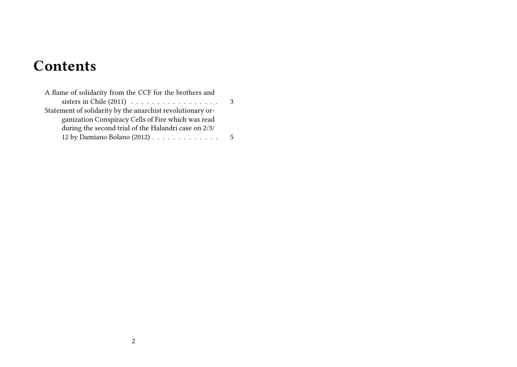# **Contents**

| A flame of solidarity from the CCF for the brothers and    |   |
|------------------------------------------------------------|---|
|                                                            |   |
| Statement of solidarity by the anarchist revolutionary or- |   |
| ganization Conspiracy Cells of Fire which was read         |   |
| during the second trial of the Halandri case on 2/3/       |   |
| 12 by Damiano Bolano $(2012)$                              | 5 |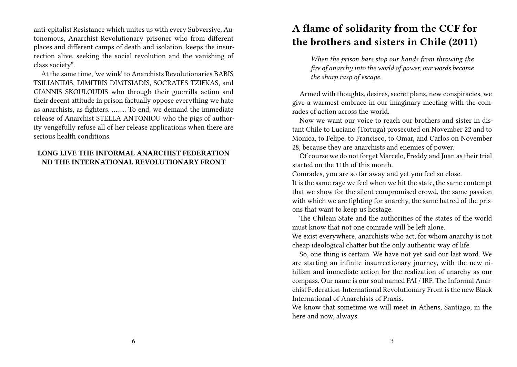anti-cpitalist Resistance which unites us with every Subversive, Autonomous, Anarchist Revolutionary prisoner who from different places and different camps of death and isolation, keeps the insurrection alive, seeking the social revolution and the vanishing of class society".

At the same time, 'we wink' to Anarchists Revolutionaries BABIS TSILIANIDIS, DIMITRIS DIMTSIADIS, SOCRATES TZIFKAS, and GIANNIS SKOULOUDIS who through their guerrilla action and their decent attitude in prison factually oppose everything we hate as anarchists, as fighters. …….. To end, we demand the immediate release of Anarchist STELLA ANTONIOU who the pigs of authority vengefully refuse all of her release applications when there are serious health conditions.

### **LONG LIVE THE INFORMAL ANARCHIST FEDERATION ND THE INTERNATIONAL REVOLUTIONARY FRONT**

### **A flame of solidarity from the CCF for the brothers and sisters in Chile (2011)**

*When the prison bars stop our hands from throwing the fire of anarchy into the world of power, our words become the sharp rasp of escape.*

Armed with thoughts, desires, secret plans, new conspiracies, we give a warmest embrace in our imaginary meeting with the comrades of action across the world.

Now we want our voice to reach our brothers and sister in distant Chile to Luciano (Tortuga) prosecuted on November 22 and to Monica, to Felipe, to Francisco, to Omar, and Carlos on November 28, because they are anarchists and enemies of power.

Of course we do not forget Marcelo, Freddy and Juan as their trial started on the 11th of this month.

Comrades, you are so far away and yet you feel so close.

It is the same rage we feel when we hit the state, the same contempt that we show for the silent compromised crowd, the same passion with which we are fighting for anarchy, the same hatred of the prisons that want to keep us hostage.

The Chilean State and the authorities of the states of the world must know that not one comrade will be left alone.

We exist everywhere, anarchists who act, for whom anarchy is not cheap ideological chatter but the only authentic way of life.

So, one thing is certain. We have not yet said our last word. We are starting an infinite insurrectionary journey, with the new nihilism and immediate action for the realization of anarchy as our compass. Our name is our soul named FAI / IRF. The Informal Anarchist Federation-International Revolutionary Front is the new Black International of Anarchists of Praxis.

We know that sometime we will meet in Athens, Santiago, in the here and now, always.